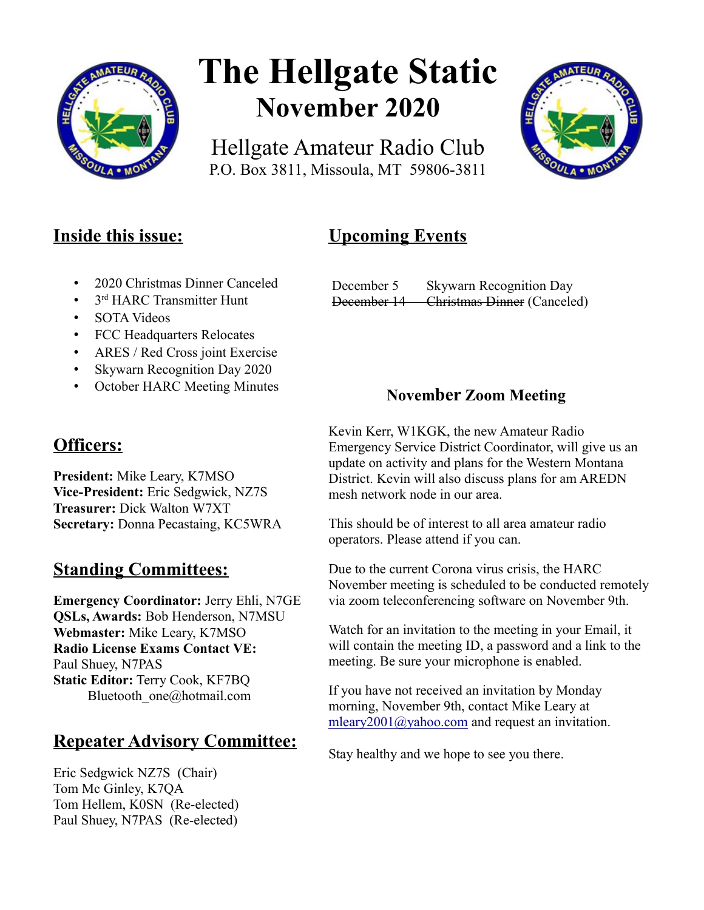

# **The Hellgate Static November 2020**

Hellgate Amateur Radio Club P.O. Box 3811, Missoula, MT 59806-3811



## **Inside this issue:**

# **Upcoming Events**

- 2020 Christmas Dinner Canceled
- 3<sup>rd</sup> HARC Transmitter Hunt
- SOTA Videos
- FCC Headquarters Relocates
- ARES / Red Cross joint Exercise
- Skywarn Recognition Day 2020
- October HARC Meeting Minutes

## **Officers:**

**President:** Mike Leary, K7MSO **Vice-President:** Eric Sedgwick, NZ7S **Treasurer:** Dick Walton W7XT **Secretary:** Donna Pecastaing, KC5WRA

# **Standing Committees:**

**Emergency Coordinator:** Jerry Ehli, N7GE **QSLs, Awards:** Bob Henderson, N7MSU **Webmaster:** Mike Leary, K7MSO **Radio License Exams Contact VE:** Paul Shuey, N7PAS **Static Editor:** Terry Cook, KF7BQ Bluetooth\_one@hotmail.com

# **Repeater Advisory Committee:**

Eric Sedgwick NZ7S (Chair) Tom Mc Ginley, K7QA Tom Hellem, K0SN (Re-elected) Paul Shuey, N7PAS (Re-elected)

#### December 5 Skywarn Recognition Day December 14 Christmas Dinner (Canceled)

### **November Zoom Meeting**

Kevin Kerr, W1KGK, the new Amateur Radio Emergency Service District Coordinator, will give us an update on activity and plans for the Western Montana District. Kevin will also discuss plans for am AREDN mesh network node in our area.

This should be of interest to all area amateur radio operators. Please attend if you can.

Due to the current Corona virus crisis, the HARC November meeting is scheduled to be conducted remotely via zoom teleconferencing software on November 9th.

Watch for an invitation to the meeting in your Email, it will contain the meeting ID, a password and a link to the meeting. Be sure your microphone is enabled.

If you have not received an invitation by Monday morning, November 9th, contact Mike Leary at [mleary2001@yahoo.com](mailto:mleary2001@yahoo.com) and request an invitation.

Stay healthy and we hope to see you there.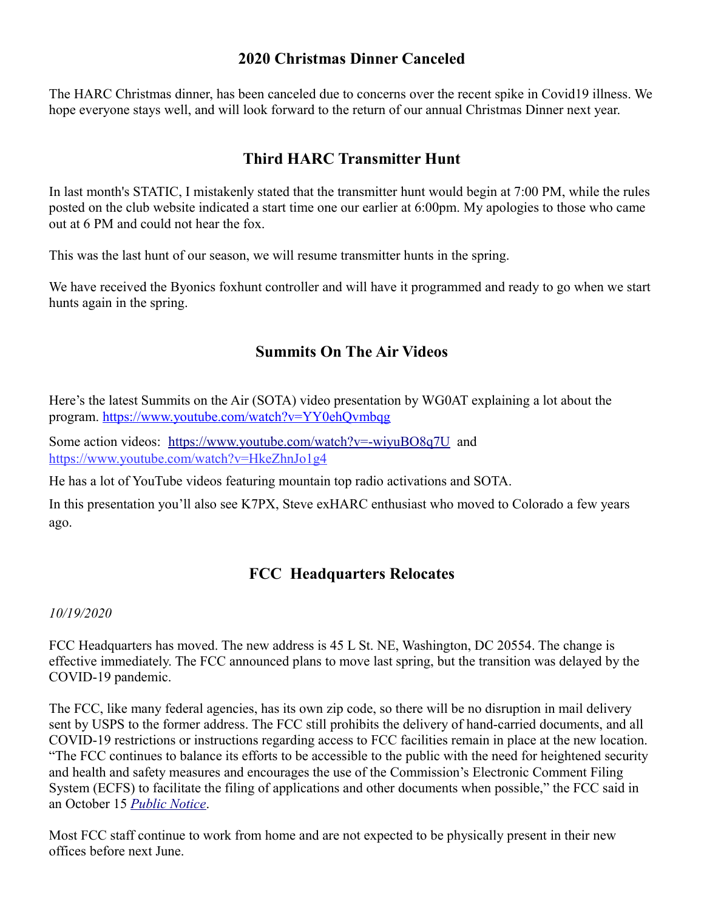#### **2020 Christmas Dinner Canceled**

The HARC Christmas dinner, has been canceled due to concerns over the recent spike in Covid19 illness. We hope everyone stays well, and will look forward to the return of our annual Christmas Dinner next year.

#### **Third HARC Transmitter Hunt**

In last month's STATIC, I mistakenly stated that the transmitter hunt would begin at 7:00 PM, while the rules posted on the club website indicated a start time one our earlier at 6:00pm. My apologies to those who came out at 6 PM and could not hear the fox.

This was the last hunt of our season, we will resume transmitter hunts in the spring.

We have received the Byonics foxhunt controller and will have it programmed and ready to go when we start hunts again in the spring.

#### **Summits On The Air Videos**

Here's the latest Summits on the Air (SOTA) video presentation by WG0AT explaining a lot about the program.<https://www.youtube.com/watch?v=YY0ehQvmbqg>

Some action videos: <https://www.youtube.com/watch?v=-wiyuBO8q7U> and <https://www.youtube.com/watch?v=HkeZhnJo1g4>

He has a lot of YouTube videos featuring mountain top radio activations and SOTA.

In this presentation you'll also see K7PX, Steve exHARC enthusiast who moved to Colorado a few years ago.

#### **FCC Headquarters Relocates**

*10/19/2020*

FCC Headquarters has moved. The new address is 45 L St. NE, Washington, DC 20554. The change is effective immediately. The FCC announced plans to move last spring, but the transition was delayed by the COVID-19 pandemic.

The FCC, like many federal agencies, has its own zip code, so there will be no disruption in mail delivery sent by USPS to the former address. The FCC still prohibits the delivery of hand-carried documents, and all COVID-19 restrictions or instructions regarding access to FCC facilities remain in place at the new location. "The FCC continues to balance its efforts to be accessible to the public with the need for heightened security and health and safety measures and encourages the use of the Commission's Electronic Comment Filing System (ECFS) to facilitate the filing of applications and other documents when possible," the FCC said in an October 15 *[Public Notice](https://l.facebook.com/l.php?u=https%3A%2F%2Fdocs.fcc.gov%2Fpublic%2Fattachments%2FDA-20-1223A1.pdf%3Ffbclid%3DIwAR3_ih3qEPW4H6rB7bsT0lRuXOgOx6oTFaT5eT9hjM04iZ59dJ06pcEeAn0&h=AT1Xhr6kHnXVaapkU1mfxRMXzaOF2wdFMQk8wAG8o25sqBAnk5JLLMP9Ig0tQBMC8YRWw7EAjW6GirWsNYfFNVDWWXedz-7O_FT6x3T6YTdm1dxWlGlgzYGdTVhGKMyozQ&__tn__=-UK-y0.g-R&c[0]=AT1SSVR2B4hTPICyltcjxUxTe1UrWyK7kq4zAYi94gSlX7sL7_w1oxaA67yu9Pz64CqKuKfoDB6l8jJjjG8mtOZrgZTi5j4V-yzD1Gwhu7XVlqkTGHligAObUwmTk-8BmpIEDc7E5FkKqVEwj0o0koXVJClpqf8j9UJPHW4V-M8ImOPebOndfbKZLxFOm6_CqvdT_9rSJbnNSGwtqobNZiYs6A2csdB9fUeRWQo)*.

Most FCC staff continue to work from home and are not expected to be physically present in their new offices before next June.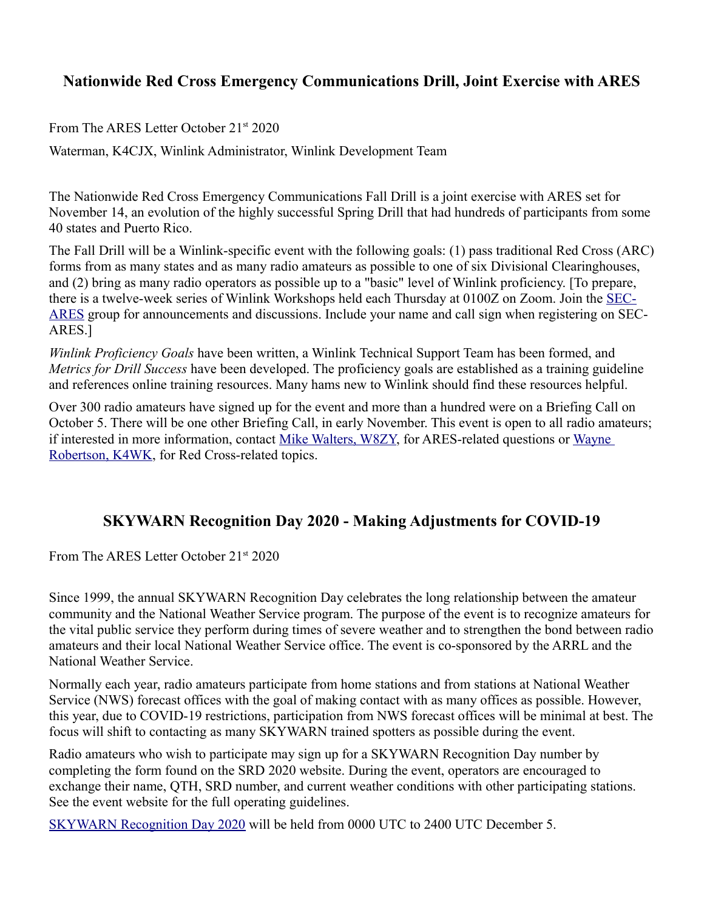#### **Nationwide Red Cross Emergency Communications Drill, Joint Exercise with ARES**

From The ARES Letter October 21<sup>st</sup> 2020

Waterman, K4CJX, Winlink Administrator, Winlink Development Team

The Nationwide Red Cross Emergency Communications Fall Drill is a joint exercise with ARES set for November 14, an evolution of the highly successful Spring Drill that had hundreds of participants from some 40 states and Puerto Rico.

The Fall Drill will be a Winlink-specific event with the following goals: (1) pass traditional Red Cross (ARC) forms from as many states and as many radio amateurs as possible to one of six Divisional Clearinghouses, and (2) bring as many radio operators as possible up to a "basic" level of Winlink proficiency. [To prepare, there is a twelve-week series of Winlink Workshops held each Thursday at 0100Z on Zoom. Join the [SEC-](https://groups.io/g/SEC-ARES)[ARES](https://groups.io/g/SEC-ARES) group for announcements and discussions. Include your name and call sign when registering on SEC-ARES.]

*Winlink Proficiency Goals* have been written, a Winlink Technical Support Team has been formed, and *Metrics for Drill Success* have been developed. The proficiency goals are established as a training guideline and references online training resources. Many hams new to Winlink should find these resources helpful.

Over 300 radio amateurs have signed up for the event and more than a hundred were on a Briefing Call on October 5. There will be one other Briefing Call, in early November. This event is open to all radio amateurs; if interested in more information, contact [Mike Walters, W8ZY,](mailto:w8zy@na1ra.net) for ARES-related questions or [Wayne](mailto:wayne.robertson@redcross.org)  [Robertson, K4WK,](mailto:wayne.robertson@redcross.org) for Red Cross-related topics.

#### **SKYWARN Recognition Day 2020 - Making Adjustments for COVID-19**

From The ARES Letter October 21<sup>st</sup> 2020

Since 1999, the annual SKYWARN Recognition Day celebrates the long relationship between the amateur community and the National Weather Service program. The purpose of the event is to recognize amateurs for the vital public service they perform during times of severe weather and to strengthen the bond between radio amateurs and their local National Weather Service office. The event is co-sponsored by the ARRL and the National Weather Service.

Normally each year, radio amateurs participate from home stations and from stations at National Weather Service (NWS) forecast offices with the goal of making contact with as many offices as possible. However, this year, due to COVID-19 restrictions, participation from NWS forecast offices will be minimal at best. The focus will shift to contacting as many SKYWARN trained spotters as possible during the event.

Radio amateurs who wish to participate may sign up for a SKYWARN Recognition Day number by completing the form found on the SRD 2020 website. During the event, operators are encouraged to exchange their name, QTH, SRD number, and current weather conditions with other participating stations. See the event website for the full operating guidelines.

[SKYWARN Recognition Day 2020](https://www.weather.gov/crh/skywarnrecognition) will be held from 0000 UTC to 2400 UTC December 5.